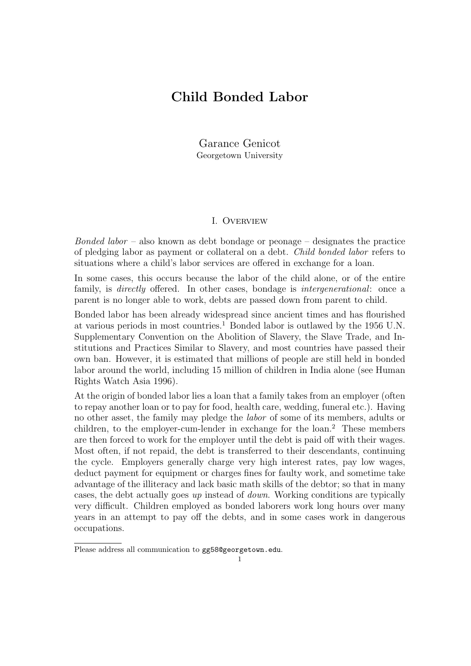# Child Bonded Labor

Garance Genicot Georgetown University

### I. Overview

*Bonded labor* – also known as debt bondage or peonage – designates the practice of pledging labor as payment or collateral on a debt. Child bonded labor refers to situations where a child's labor services are offered in exchange for a loan.

In some cases, this occurs because the labor of the child alone, or of the entire family, is *directly* offered. In other cases, bondage is *intergenerational*: once a parent is no longer able to work, debts are passed down from parent to child.

Bonded labor has been already widespread since ancient times and has flourished at various periods in most countries.<sup>1</sup> Bonded labor is outlawed by the 1956 U.N. Supplementary Convention on the Abolition of Slavery, the Slave Trade, and Institutions and Practices Similar to Slavery, and most countries have passed their own ban. However, it is estimated that millions of people are still held in bonded labor around the world, including 15 million of children in India alone (see Human Rights Watch Asia 1996).

At the origin of bonded labor lies a loan that a family takes from an employer (often to repay another loan or to pay for food, health care, wedding, funeral etc.). Having no other asset, the family may pledge the labor of some of its members, adults or children, to the employer-cum-lender in exchange for the loan.<sup>2</sup> These members are then forced to work for the employer until the debt is paid off with their wages. Most often, if not repaid, the debt is transferred to their descendants, continuing the cycle. Employers generally charge very high interest rates, pay low wages, deduct payment for equipment or charges fines for faulty work, and sometime take advantage of the illiteracy and lack basic math skills of the debtor; so that in many cases, the debt actually goes up instead of down. Working conditions are typically very difficult. Children employed as bonded laborers work long hours over many years in an attempt to pay off the debts, and in some cases work in dangerous occupations.

Please address all communication to gg58@georgetown.edu.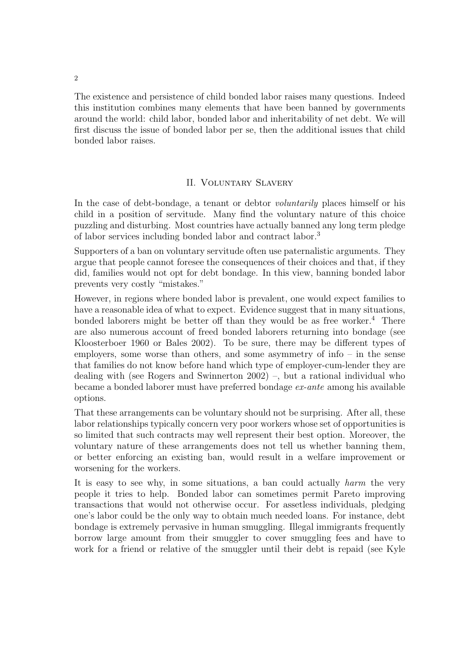The existence and persistence of child bonded labor raises many questions. Indeed this institution combines many elements that have been banned by governments around the world: child labor, bonded labor and inheritability of net debt. We will first discuss the issue of bonded labor per se, then the additional issues that child bonded labor raises.

# II. Voluntary Slavery

In the case of debt-bondage, a tenant or debtor voluntarily places himself or his child in a position of servitude. Many find the voluntary nature of this choice puzzling and disturbing. Most countries have actually banned any long term pledge of labor services including bonded labor and contract labor.<sup>3</sup>

Supporters of a ban on voluntary servitude often use paternalistic arguments. They argue that people cannot foresee the consequences of their choices and that, if they did, families would not opt for debt bondage. In this view, banning bonded labor prevents very costly "mistakes."

However, in regions where bonded labor is prevalent, one would expect families to have a reasonable idea of what to expect. Evidence suggest that in many situations, bonded laborers might be better off than they would be as free worker.<sup>4</sup> There are also numerous account of freed bonded laborers returning into bondage (see Kloosterboer 1960 or Bales 2002). To be sure, there may be different types of employers, some worse than others, and some asymmetry of info – in the sense that families do not know before hand which type of employer-cum-lender they are dealing with (see Rogers and Swinnerton 2002) –, but a rational individual who became a bonded laborer must have preferred bondage ex-ante among his available options.

That these arrangements can be voluntary should not be surprising. After all, these labor relationships typically concern very poor workers whose set of opportunities is so limited that such contracts may well represent their best option. Moreover, the voluntary nature of these arrangements does not tell us whether banning them, or better enforcing an existing ban, would result in a welfare improvement or worsening for the workers.

It is easy to see why, in some situations, a ban could actually harm the very people it tries to help. Bonded labor can sometimes permit Pareto improving transactions that would not otherwise occur. For assetless individuals, pledging one's labor could be the only way to obtain much needed loans. For instance, debt bondage is extremely pervasive in human smuggling. Illegal immigrants frequently borrow large amount from their smuggler to cover smuggling fees and have to work for a friend or relative of the smuggler until their debt is repaid (see Kyle

2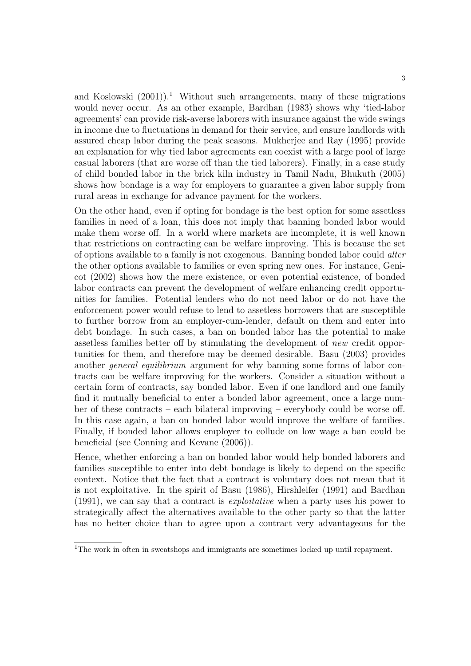and Koslowski  $(2001)$ .<sup>1</sup> Without such arrangements, many of these migrations would never occur. As an other example, Bardhan (1983) shows why 'tied-labor agreements' can provide risk-averse laborers with insurance against the wide swings in income due to fluctuations in demand for their service, and ensure landlords with assured cheap labor during the peak seasons. Mukherjee and Ray (1995) provide an explanation for why tied labor agreements can coexist with a large pool of large casual laborers (that are worse off than the tied laborers). Finally, in a case study of child bonded labor in the brick kiln industry in Tamil Nadu, Bhukuth (2005) shows how bondage is a way for employers to guarantee a given labor supply from rural areas in exchange for advance payment for the workers.

On the other hand, even if opting for bondage is the best option for some assetless families in need of a loan, this does not imply that banning bonded labor would make them worse off. In a world where markets are incomplete, it is well known that restrictions on contracting can be welfare improving. This is because the set of options available to a family is not exogenous. Banning bonded labor could alter the other options available to families or even spring new ones. For instance, Genicot (2002) shows how the mere existence, or even potential existence, of bonded labor contracts can prevent the development of welfare enhancing credit opportunities for families. Potential lenders who do not need labor or do not have the enforcement power would refuse to lend to assetless borrowers that are susceptible to further borrow from an employer-cum-lender, default on them and enter into debt bondage. In such cases, a ban on bonded labor has the potential to make assetless families better off by stimulating the development of new credit opportunities for them, and therefore may be deemed desirable. Basu (2003) provides another *general equilibrium* argument for why banning some forms of labor contracts can be welfare improving for the workers. Consider a situation without a certain form of contracts, say bonded labor. Even if one landlord and one family find it mutually beneficial to enter a bonded labor agreement, once a large number of these contracts – each bilateral improving – everybody could be worse off. In this case again, a ban on bonded labor would improve the welfare of families. Finally, if bonded labor allows employer to collude on low wage a ban could be beneficial (see Conning and Kevane (2006)).

Hence, whether enforcing a ban on bonded labor would help bonded laborers and families susceptible to enter into debt bondage is likely to depend on the specific context. Notice that the fact that a contract is voluntary does not mean that it is not exploitative. In the spirit of Basu (1986), Hirshleifer (1991) and Bardhan (1991), we can say that a contract is exploitative when a party uses his power to strategically affect the alternatives available to the other party so that the latter has no better choice than to agree upon a contract very advantageous for the

<sup>&</sup>lt;sup>1</sup>The work in often in sweatshops and immigrants are sometimes locked up until repayment.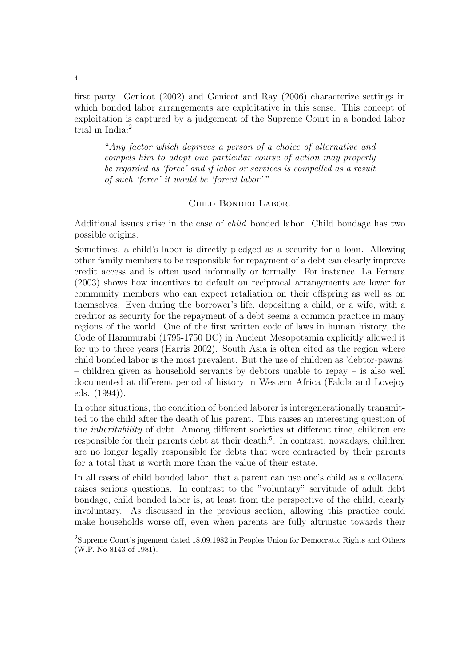first party. Genicot (2002) and Genicot and Ray (2006) characterize settings in which bonded labor arrangements are exploitative in this sense. This concept of exploitation is captured by a judgement of the Supreme Court in a bonded labor trial in India:<sup>2</sup>

"Any factor which deprives a person of a choice of alternative and compels him to adopt one particular course of action may properly be regarded as 'force' and if labor or services is compelled as a result of such 'force' it would be 'forced labor'.".

# Child Bonded Labor.

Additional issues arise in the case of child bonded labor. Child bondage has two possible origins.

Sometimes, a child's labor is directly pledged as a security for a loan. Allowing other family members to be responsible for repayment of a debt can clearly improve credit access and is often used informally or formally. For instance, La Ferrara (2003) shows how incentives to default on reciprocal arrangements are lower for community members who can expect retaliation on their offspring as well as on themselves. Even during the borrower's life, depositing a child, or a wife, with a creditor as security for the repayment of a debt seems a common practice in many regions of the world. One of the first written code of laws in human history, the Code of Hammurabi (1795-1750 BC) in Ancient Mesopotamia explicitly allowed it for up to three years (Harris 2002). South Asia is often cited as the region where child bonded labor is the most prevalent. But the use of children as 'debtor-pawns' – children given as household servants by debtors unable to repay – is also well documented at different period of history in Western Africa (Falola and Lovejoy eds. (1994)).

In other situations, the condition of bonded laborer is intergenerationally transmitted to the child after the death of his parent. This raises an interesting question of the inheritability of debt. Among different societies at different time, children ere responsible for their parents debt at their death.<sup>5</sup>. In contrast, nowadays, children are no longer legally responsible for debts that were contracted by their parents for a total that is worth more than the value of their estate.

In all cases of child bonded labor, that a parent can use one's child as a collateral raises serious questions. In contrast to the "voluntary" servitude of adult debt bondage, child bonded labor is, at least from the perspective of the child, clearly involuntary. As discussed in the previous section, allowing this practice could make households worse off, even when parents are fully altruistic towards their

<sup>2</sup>Supreme Court's jugement dated 18.09.1982 in Peoples Union for Democratic Rights and Others (W.P. No 8143 of 1981).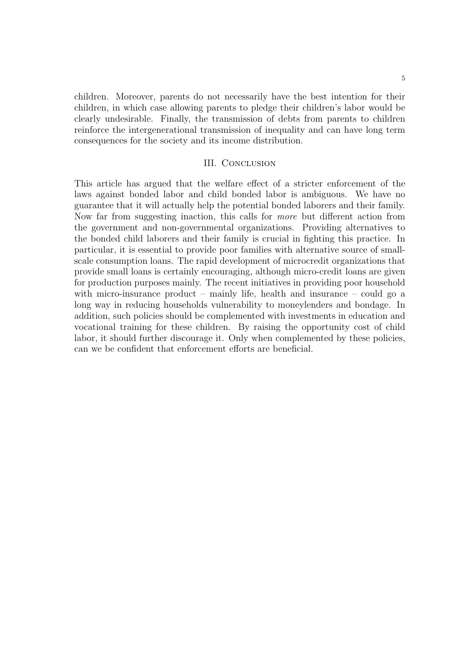children. Moreover, parents do not necessarily have the best intention for their children, in which case allowing parents to pledge their children's labor would be clearly undesirable. Finally, the transmission of debts from parents to children reinforce the intergenerational transmission of inequality and can have long term consequences for the society and its income distribution.

#### III. Conclusion

This article has argued that the welfare effect of a stricter enforcement of the laws against bonded labor and child bonded labor is ambiguous. We have no guarantee that it will actually help the potential bonded laborers and their family. Now far from suggesting inaction, this calls for more but different action from the government and non-governmental organizations. Providing alternatives to the bonded child laborers and their family is crucial in fighting this practice. In particular, it is essential to provide poor families with alternative source of smallscale consumption loans. The rapid development of microcredit organizations that provide small loans is certainly encouraging, although micro-credit loans are given for production purposes mainly. The recent initiatives in providing poor household with micro-insurance product – mainly life, health and insurance – could go a long way in reducing households vulnerability to moneylenders and bondage. In addition, such policies should be complemented with investments in education and vocational training for these children. By raising the opportunity cost of child labor, it should further discourage it. Only when complemented by these policies, can we be confident that enforcement efforts are beneficial.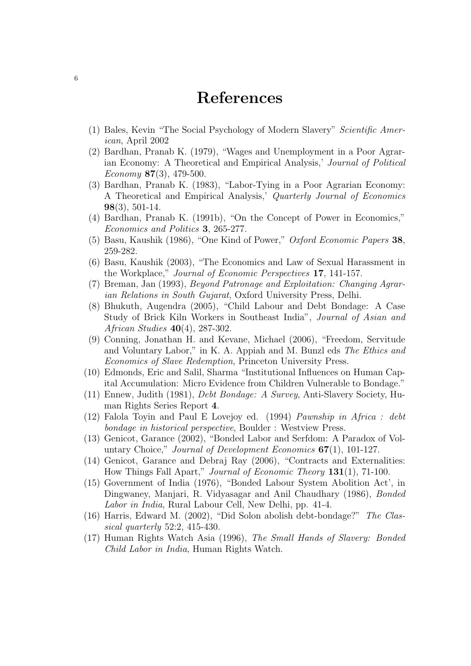# References

- (1) Bales, Kevin "The Social Psychology of Modern Slavery" Scientific American, April 2002
- (2) Bardhan, Pranab K. (1979), "Wages and Unemployment in a Poor Agrarian Economy: A Theoretical and Empirical Analysis,' Journal of Political  $E_{\text{conomy}}$  87(3), 479-500.
- (3) Bardhan, Pranab K. (1983), "Labor-Tying in a Poor Agrarian Economy: A Theoretical and Empirical Analysis,' Quarterly Journal of Economics  $98(3), 501-14.$
- (4) Bardhan, Pranab K. (1991b), "On the Concept of Power in Economics," Economics and Politics 3, 265-277.
- (5) Basu, Kaushik (1986), "One Kind of Power," Oxford Economic Papers 38, 259-282.
- (6) Basu, Kaushik (2003), "The Economics and Law of Sexual Harassment in the Workplace," Journal of Economic Perspectives 17, 141-157.
- (7) Breman, Jan (1993), Beyond Patronage and Exploitation: Changing Agrarian Relations in South Gujarat, Oxford University Press, Delhi.
- (8) Bhukuth, Augendra (2005), "Child Labour and Debt Bondage: A Case Study of Brick Kiln Workers in Southeast India", Journal of Asian and African Studies 40(4), 287-302.
- (9) Conning, Jonathan H. and Kevane, Michael (2006), "Freedom, Servitude and Voluntary Labor," in K. A. Appiah and M. Bunzl eds The Ethics and Economics of Slave Redemption, Princeton University Press.
- (10) Edmonds, Eric and Salil, Sharma "Institutional Influences on Human Capital Accumulation: Micro Evidence from Children Vulnerable to Bondage."
- (11) Ennew, Judith (1981), Debt Bondage: A Survey, Anti-Slavery Society, Human Rights Series Report 4.
- (12) Falola Toyin and Paul E Lovejoy ed. (1994) Pawnship in Africa : debt bondage in historical perspective, Boulder : Westview Press.
- (13) Genicot, Garance (2002), "Bonded Labor and Serfdom: A Paradox of Voluntary Choice," Journal of Development Economics 67(1), 101-127.
- (14) Genicot, Garance and Debraj Ray (2006), "Contracts and Externalities: How Things Fall Apart," Journal of Economic Theory 131(1), 71-100.
- (15) Government of India (1976), "Bonded Labour System Abolition Act', in Dingwaney, Manjari, R. Vidyasagar and Anil Chaudhary (1986), Bonded Labor in India, Rural Labour Cell, New Delhi, pp. 41-4.
- (16) Harris, Edward M. (2002), "Did Solon abolish debt-bondage?" The Classical quarterly 52:2, 415-430.
- (17) Human Rights Watch Asia (1996), The Small Hands of Slavery: Bonded Child Labor in India, Human Rights Watch.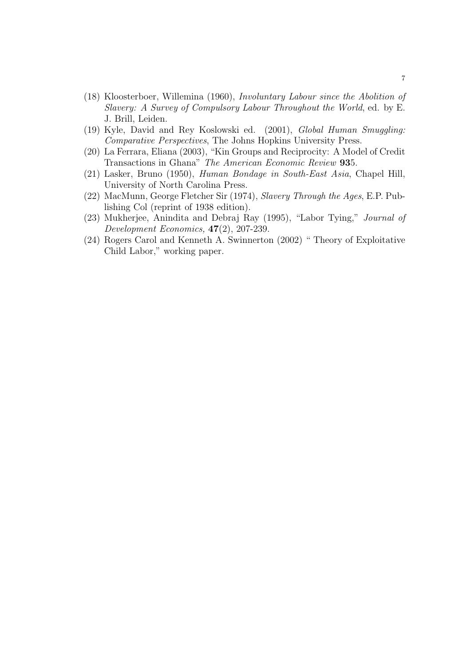- (18) Kloosterboer, Willemina (1960), Involuntary Labour since the Abolition of Slavery: A Survey of Compulsory Labour Throughout the World, ed. by E. J. Brill, Leiden.
- (19) Kyle, David and Rey Koslowski ed. (2001), Global Human Smuggling: Comparative Perspectives, The Johns Hopkins University Press.
- (20) La Ferrara, Eliana (2003), "Kin Groups and Reciprocity: A Model of Credit Transactions in Ghana" The American Economic Review 935.
- (21) Lasker, Bruno (1950), Human Bondage in South-East Asia, Chapel Hill, University of North Carolina Press.
- (22) MacMunn, George Fletcher Sir (1974), Slavery Through the Ages, E.P. Publishing Col (reprint of 1938 edition).
- (23) Mukherjee, Anindita and Debraj Ray (1995), "Labor Tying," Journal of Development Economics,  $47(2)$ , 207-239.
- (24) Rogers Carol and Kenneth A. Swinnerton (2002) " Theory of Exploitative Child Labor," working paper.